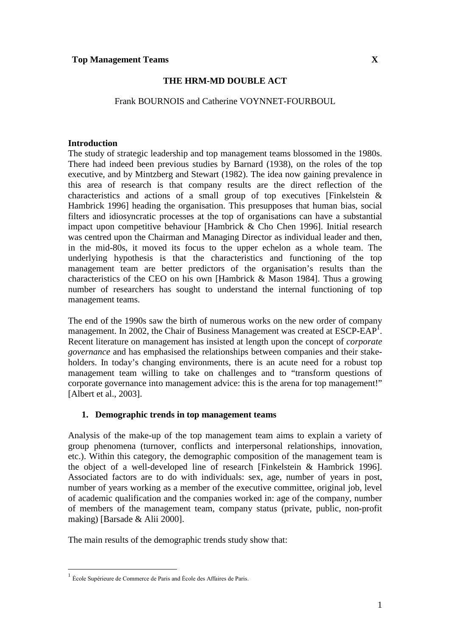### **THE HRM-MD DOUBLE ACT**

Frank BOURNOIS and Catherine VOYNNET-FOURBOUL

#### **Introduction**

The study of strategic leadership and top management teams blossomed in the 1980s. There had indeed been previous studies by Barnard (1938), on the roles of the top executive, and by Mintzberg and Stewart (1982). The idea now gaining prevalence in this area of research is that company results are the direct reflection of the characteristics and actions of a small group of top executives [Finkelstein & Hambrick 1996] heading the organisation. This presupposes that human bias, social filters and idiosyncratic processes at the top of organisations can have a substantial impact upon competitive behaviour [Hambrick & Cho Chen 1996]. Initial research was centred upon the Chairman and Managing Director as individual leader and then, in the mid-80s, it moved its focus to the upper echelon as a whole team. The underlying hypothesis is that the characteristics and functioning of the top management team are better predictors of the organisation's results than the characteristics of the CEO on his own [Hambrick & Mason 1984]. Thus a growing number of researchers has sought to understand the internal functioning of top management teams.

The end of the 1990s saw the birth of numerous works on the new order of company management. In 2002, the Chair of Business Management was created at ESCP-EAP<sup>I</sup>. Recent literature on management has insisted at length upon the concept of *corporate governance* and has emphasised the relationships between companies and their stakeholders. In today's changing environments, there is an acute need for a robust top management team willing to take on challenges and to "transform questions of corporate governance into management advice: this is the arena for top management!" [Albert et al., 2003].

### **1. Demographic trends in top management teams**

Analysis of the make-up of the top management team aims to explain a variety of group phenomena (turnover, conflicts and interpersonal relationships, innovation, etc.). Within this category, the demographic composition of the management team is the object of a well-developed line of research [Finkelstein & Hambrick 1996]. Associated factors are to do with individuals: sex, age, number of years in post, number of years working as a member of the executive committee, original job, level of academic qualification and the companies worked in: age of the company, number of members of the management team, company status (private, public, non-profit making) [Barsade & Alii 2000].

The main results of the demographic trends study show that:

<sup>&</sup>lt;sup>1</sup> École Supérieure de Commerce de Paris and École des Affaires de Paris.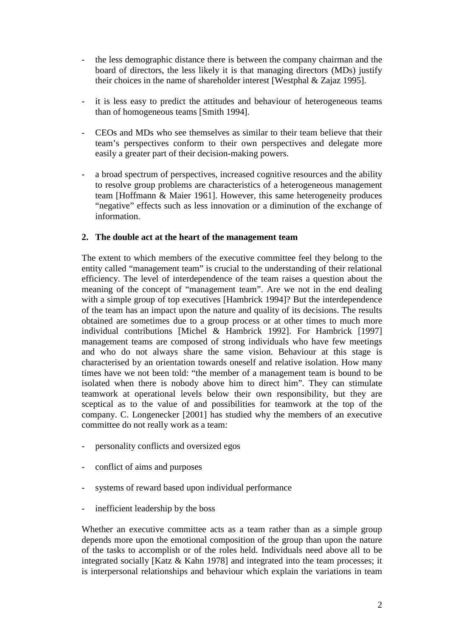- the less demographic distance there is between the company chairman and the board of directors, the less likely it is that managing directors (MDs) justify their choices in the name of shareholder interest [Westphal & Zajaz 1995].
- it is less easy to predict the attitudes and behaviour of heterogeneous teams than of homogeneous teams [Smith 1994].
- CEOs and MDs who see themselves as similar to their team believe that their team's perspectives conform to their own perspectives and delegate more easily a greater part of their decision-making powers.
- a broad spectrum of perspectives, increased cognitive resources and the ability to resolve group problems are characteristics of a heterogeneous management team [Hoffmann & Maier 1961]. However, this same heterogeneity produces "negative" effects such as less innovation or a diminution of the exchange of information.

### **2. The double act at the heart of the management team**

The extent to which members of the executive committee feel they belong to the entity called "management team" is crucial to the understanding of their relational efficiency. The level of interdependence of the team raises a question about the meaning of the concept of "management team". Are we not in the end dealing with a simple group of top executives [Hambrick 1994]? But the interdependence of the team has an impact upon the nature and quality of its decisions. The results obtained are sometimes due to a group process or at other times to much more individual contributions [Michel & Hambrick 1992]. For Hambrick [1997] management teams are composed of strong individuals who have few meetings and who do not always share the same vision. Behaviour at this stage is characterised by an orientation towards oneself and relative isolation. How many times have we not been told: "the member of a management team is bound to be isolated when there is nobody above him to direct him". They can stimulate teamwork at operational levels below their own responsibility, but they are sceptical as to the value of and possibilities for teamwork at the top of the company. C. Longenecker [2001] has studied why the members of an executive committee do not really work as a team:

- personality conflicts and oversized egos
- conflict of aims and purposes
- systems of reward based upon individual performance
- inefficient leadership by the boss

Whether an executive committee acts as a team rather than as a simple group depends more upon the emotional composition of the group than upon the nature of the tasks to accomplish or of the roles held. Individuals need above all to be integrated socially [Katz & Kahn 1978] and integrated into the team processes; it is interpersonal relationships and behaviour which explain the variations in team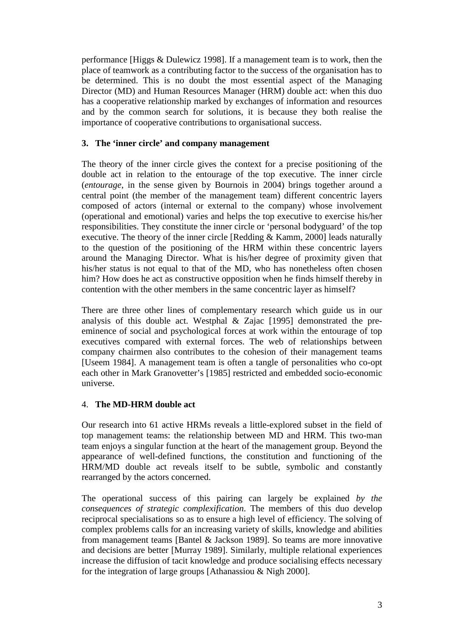performance [Higgs & Dulewicz 1998]. If a management team is to work, then the place of teamwork as a contributing factor to the success of the organisation has to be determined. This is no doubt the most essential aspect of the Managing Director (MD) and Human Resources Manager (HRM) double act: when this duo has a cooperative relationship marked by exchanges of information and resources and by the common search for solutions, it is because they both realise the importance of cooperative contributions to organisational success.

## **3. The 'inner circle' and company management**

The theory of the inner circle gives the context for a precise positioning of the double act in relation to the entourage of the top executive. The inner circle (*entourage*, in the sense given by Bournois in 2004) brings together around a central point (the member of the management team) different concentric layers composed of actors (internal or external to the company) whose involvement (operational and emotional) varies and helps the top executive to exercise his/her responsibilities. They constitute the inner circle or 'personal bodyguard' of the top executive. The theory of the inner circle [Redding & Kamm, 2000] leads naturally to the question of the positioning of the HRM within these concentric layers around the Managing Director. What is his/her degree of proximity given that his/her status is not equal to that of the MD, who has nonetheless often chosen him? How does he act as constructive opposition when he finds himself thereby in contention with the other members in the same concentric layer as himself?

There are three other lines of complementary research which guide us in our analysis of this double act. Westphal & Zajac [1995] demonstrated the preeminence of social and psychological forces at work within the entourage of top executives compared with external forces. The web of relationships between company chairmen also contributes to the cohesion of their management teams [Useem 1984]. A management team is often a tangle of personalities who co-opt each other in Mark Granovetter's [1985] restricted and embedded socio-economic universe.

# 4. **The MD-HRM double act**

Our research into 61 active HRMs reveals a little-explored subset in the field of top management teams: the relationship between MD and HRM. This two-man team enjoys a singular function at the heart of the management group. Beyond the appearance of well-defined functions, the constitution and functioning of the HRM/MD double act reveals itself to be subtle, symbolic and constantly rearranged by the actors concerned.

The operational success of this pairing can largely be explained *by the consequences of strategic complexification*. The members of this duo develop reciprocal specialisations so as to ensure a high level of efficiency. The solving of complex problems calls for an increasing variety of skills, knowledge and abilities from management teams [Bantel & Jackson 1989]. So teams are more innovative and decisions are better [Murray 1989]. Similarly, multiple relational experiences increase the diffusion of tacit knowledge and produce socialising effects necessary for the integration of large groups [Athanassiou & Nigh 2000].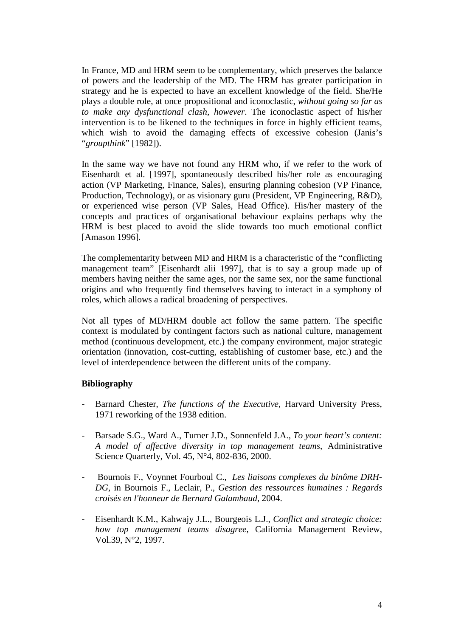In France, MD and HRM seem to be complementary, which preserves the balance of powers and the leadership of the MD. The HRM has greater participation in strategy and he is expected to have an excellent knowledge of the field. She/He plays a double role, at once propositional and iconoclastic, *without going so far as to make any dysfunctional clash, however*. The iconoclastic aspect of his/her intervention is to be likened to the techniques in force in highly efficient teams, which wish to avoid the damaging effects of excessive cohesion (Janis's "*groupthink*" [1982]).

In the same way we have not found any HRM who, if we refer to the work of Eisenhardt et al. [1997], spontaneously described his/her role as encouraging action (VP Marketing, Finance, Sales), ensuring planning cohesion (VP Finance, Production, Technology), or as visionary guru (President, VP Engineering, R&D), or experienced wise person (VP Sales, Head Office). His/her mastery of the concepts and practices of organisational behaviour explains perhaps why the HRM is best placed to avoid the slide towards too much emotional conflict [Amason 1996].

The complementarity between MD and HRM is a characteristic of the "conflicting management team" [Eisenhardt alii 1997], that is to say a group made up of members having neither the same ages, nor the same sex, nor the same functional origins and who frequently find themselves having to interact in a symphony of roles, which allows a radical broadening of perspectives.

Not all types of MD/HRM double act follow the same pattern. The specific context is modulated by contingent factors such as national culture, management method (continuous development, etc.) the company environment, major strategic orientation (innovation, cost-cutting, establishing of customer base, etc.) and the level of interdependence between the different units of the company.

### **Bibliography**

- Barnard Chester, *The functions of the Executive*, Harvard University Press, 1971 reworking of the 1938 edition.
- Barsade S.G., Ward A., Turner J.D., Sonnenfeld J.A., *To your heart's content: A model of affective diversity in top management teams*, Administrative Science Quarterly, Vol. 45, N°4, 802-836, 2000.
- Bournois F., Voynnet Fourboul C., *Les liaisons complexes du binôme DRH-DG*, in Bournois F., Leclair, P., *Gestion des ressources humaines : Regards croisés en l'honneur de Bernard Galambaud*, 2004.
- Eisenhardt K.M., Kahwajy J.L., Bourgeois L.J., *Conflict and strategic choice: how top management teams disagree*, California Management Review, Vol.39, N°2, 1997.